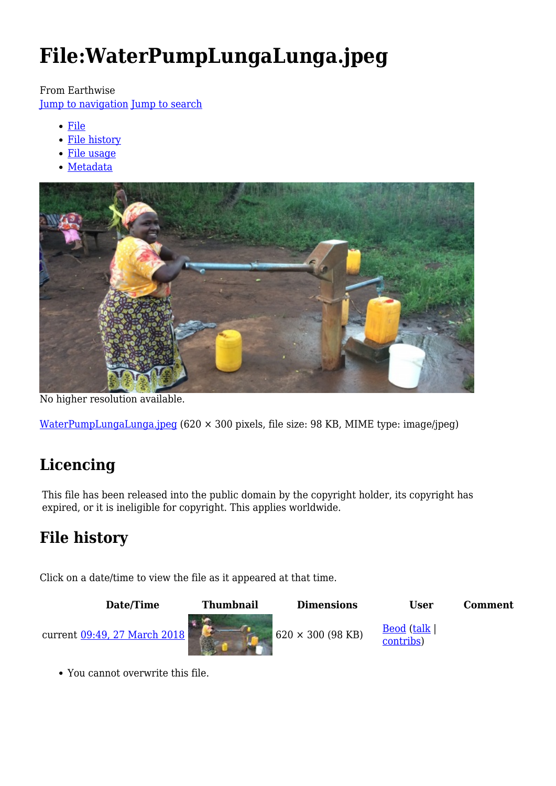# **File:WaterPumpLungaLunga.jpeg**

#### From Earthwise

[Jump to navigation](#page--1-0) [Jump to search](#page--1-0)

- [File](#page--1-0)
- [File history](#page--1-0)
- [File usage](#page--1-0)
- [Metadata](#page--1-0)



No higher resolution available.

[WaterPumpLungaLunga.jpeg](http://earthwise.bgs.ac.uk/images/c/c6/WaterPumpLungaLunga.jpeg) (620 × 300 pixels, file size: 98 KB, MIME type: image/jpeg)

# **Licencing**

This file has been released into the public domain by the copyright holder, its copyright has expired, or it is ineligible for copyright. This applies worldwide.

# **File history**

Click on a date/time to view the file as it appeared at that time.



You cannot overwrite this file.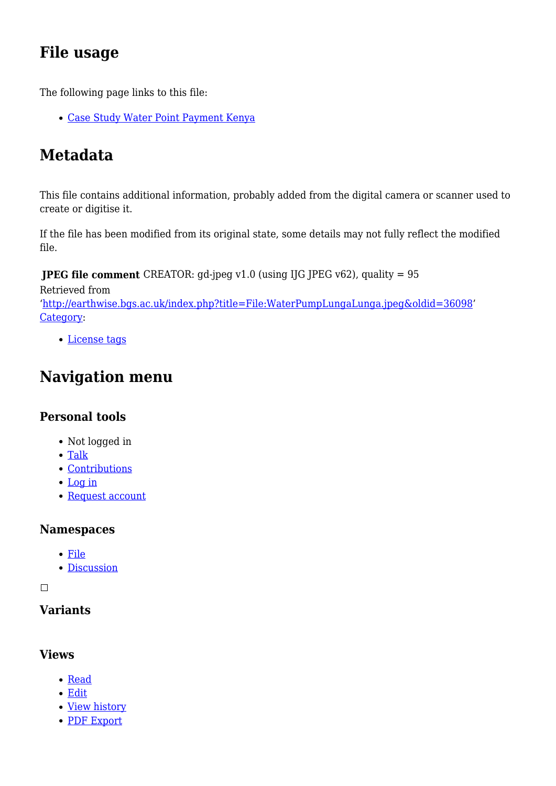# **File usage**

The following page links to this file:

[Case Study Water Point Payment Kenya](http://earthwise.bgs.ac.uk/index.php/Case_Study_Water_Point_Payment_Kenya)

# **Metadata**

This file contains additional information, probably added from the digital camera or scanner used to create or digitise it.

If the file has been modified from its original state, some details may not fully reflect the modified file.

**JPEG file comment** CREATOR: gd-jpeg v1.0 (using IJG JPEG v62), quality = 95

Retrieved from

'<http://earthwise.bgs.ac.uk/index.php?title=File:WaterPumpLungaLunga.jpeg&oldid=36098>' [Category](http://earthwise.bgs.ac.uk/index.php/Special:Categories):

[License tags](http://earthwise.bgs.ac.uk/index.php/Category:License_tags)

# **Navigation menu**

#### **Personal tools**

- Not logged in
- [Talk](http://earthwise.bgs.ac.uk/index.php/Special:MyTalk)
- [Contributions](http://earthwise.bgs.ac.uk/index.php/Special:MyContributions)
- [Log in](http://earthwise.bgs.ac.uk/index.php?title=Special:UserLogin&returnto=File%3AWaterPumpLungaLunga.jpeg&returntoquery=action%3Dmpdf)
- [Request account](http://earthwise.bgs.ac.uk/index.php/Special:RequestAccount)

#### **Namespaces**

- [File](http://earthwise.bgs.ac.uk/index.php/File:WaterPumpLungaLunga.jpeg)
- [Discussion](http://earthwise.bgs.ac.uk/index.php?title=File_talk:WaterPumpLungaLunga.jpeg&action=edit&redlink=1)

 $\Box$ 

#### **Variants**

#### **Views**

- [Read](http://earthwise.bgs.ac.uk/index.php/File:WaterPumpLungaLunga.jpeg)
- [Edit](http://earthwise.bgs.ac.uk/index.php?title=File:WaterPumpLungaLunga.jpeg&action=edit)
- [View history](http://earthwise.bgs.ac.uk/index.php?title=File:WaterPumpLungaLunga.jpeg&action=history)
- [PDF Export](http://earthwise.bgs.ac.uk/index.php?title=File:WaterPumpLungaLunga.jpeg&action=mpdf)